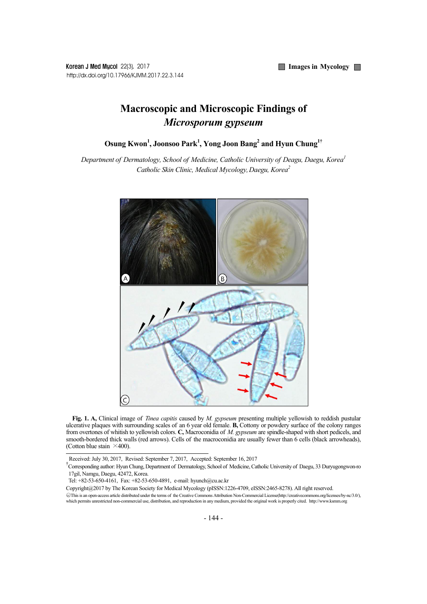**Images in Mycology** 

Korean J Med Mycol 22(3), 2017 http://dx.doi.org/10.17966/KJMM.2017.22.3.144

## **Macroscopic and Microscopic Findings of**  *Microsporum gypseum*

**Osung Kwon1 , Joonsoo Park1 , Yong Joon Bang2 and Hyun Chung1†**

*Department of Dermatology, School of Medicine, Catholic University of Deagu, Daegu, Korea1 Catholic Skin Clinic, Medical Mycology,Daegu, Korea2*



**Fig. 1. A,** Clinical image of *Tinea capitis* caused by *M. gypseum* presenting multiple yellowish to reddish pustular ulcerative plaques with surrounding scales of an 6 year old female. **B,** Cottony or powdery surface of the colony ranges from overtones of whitish to yellowish colors. **C,** Macroconidia of *M. gypseum* are spindle-shaped with short pedicels, and smooth-bordered thick walls (red arrows). Cells of the macroconidia are usually fewer than 6 cells (black arrowheads), (Cotton blue stain  $\times$ 400).

Received: July 30, 2017, Revised: September 7, 2017, Accepted: September 16, 2017 †

Corresponding author: Hyun Chung, Department of Dermatology, School of Medicine, Catholic University of Daegu, 33 Duryugongwon-ro 17gil, Namgu, Daegu, 42472, Korea.

Tel: +82-53-650-4161, Fax: +82-53-650-4891, e-mail: hyunch@cu.ac.kr

Copyright@2017 by The Korean Society for Medical Mycology (pISSN:1226-4709, eISSN:2465-8278). All right reserved.

<sup>○</sup>cc This is an open-access article distributed under the terms of the Creative Commons Attribution Non-Commercial License(http://creativecommons.org/licenses/by-nc/3.0/), which permits unrestricted non-commercial use, distribution, and reproduction in any medium, provided the original work is properly cited. http://www.ksmm.org